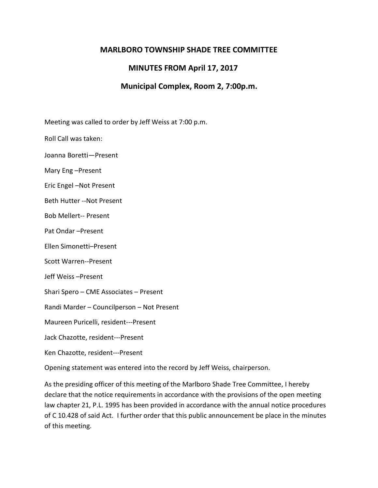# **MARLBORO TOWNSHIP SHADE TREE COMMITTEE**

# **MINUTES FROM April 17, 2017**

# **Municipal Complex, Room 2, 7:00p.m.**

Meeting was called to order by Jeff Weiss at 7:00 p.m.

Roll Call was taken:

Joanna Boretti—Present

Mary Eng –Present

Eric Engel –Not Present

Beth Hutter --Not Present

Bob Mellert-- Present

Pat Ondar –Present

Ellen Simonetti–Present

Scott Warren--Present

Jeff Weiss –Present

Shari Spero – CME Associates – Present

Randi Marder – Councilperson – Not Present

Maureen Puricelli, resident---Present

Jack Chazotte, resident---Present

Ken Chazotte, resident---Present

Opening statement was entered into the record by Jeff Weiss, chairperson.

As the presiding officer of this meeting of the Marlboro Shade Tree Committee, I hereby declare that the notice requirements in accordance with the provisions of the open meeting law chapter 21, P.L. 1995 has been provided in accordance with the annual notice procedures of C 10.428 of said Act. I further order that this public announcement be place in the minutes of this meeting.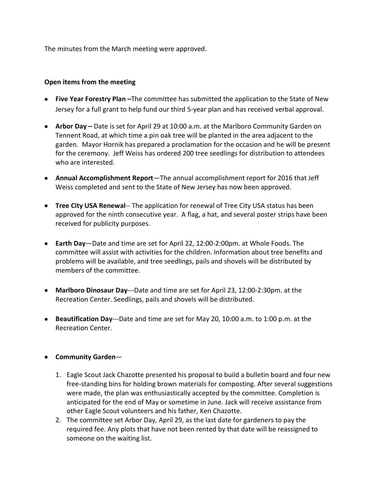The minutes from the March meeting were approved.

#### **Open items from the meeting**

- **Five Year Forestry Plan –**The committee has submitted the application to the State of New Jersey for a full grant to help fund our third 5-year plan and has received verbal approval.
- **Arbor Day –** Date is set for April 29 at 10:00 a.m. at the Marlboro Community Garden on Tennent Road, at which time a pin oak tree will be planted in the area adjacent to the garden. Mayor Hornik has prepared a proclamation for the occasion and he will be present for the ceremony. Jeff Weiss has ordered 200 tree seedlings for distribution to attendees who are interested.
- **Annual Accomplishment Report**—The annual accomplishment report for 2016 that Jeff Weiss completed and sent to the State of New Jersey has now been approved.
- **Tree City USA Renewal--** The application for renewal of Tree City USA status has been approved for the ninth consecutive year. A flag, a hat, and several poster strips have been received for publicity purposes.
- **Earth Day**—Date and time are set for April 22, 12:00-2:00pm. at Whole Foods. The committee will assist with activities for the children. Information about tree benefits and problems will be available, and tree seedlings, pails and shovels will be distributed by members of the committee.
- **Marlboro Dinosaur Day**---Date and time are set for April 23, 12:00-2:30pm. at the Recreation Center. Seedlings, pails and shovels will be distributed.
- **Beautification Day**---Date and time are set for May 20, 10:00 a.m. to 1:00 p.m. at the Recreation Center.

### • **Community Garden**—

- 1. Eagle Scout Jack Chazotte presented his proposal to build a bulletin board and four new free-standing bins for holding brown materials for composting. After several suggestions were made, the plan was enthusiastically accepted by the committee. Completion is anticipated for the end of May or sometime in June. Jack will receive assistance from other Eagle Scout volunteers and his father, Ken Chazotte.
- 2. The committee set Arbor Day, April 29, as the last date for gardeners to pay the required fee. Any plots that have not been rented by that date will be reassigned to someone on the waiting list.